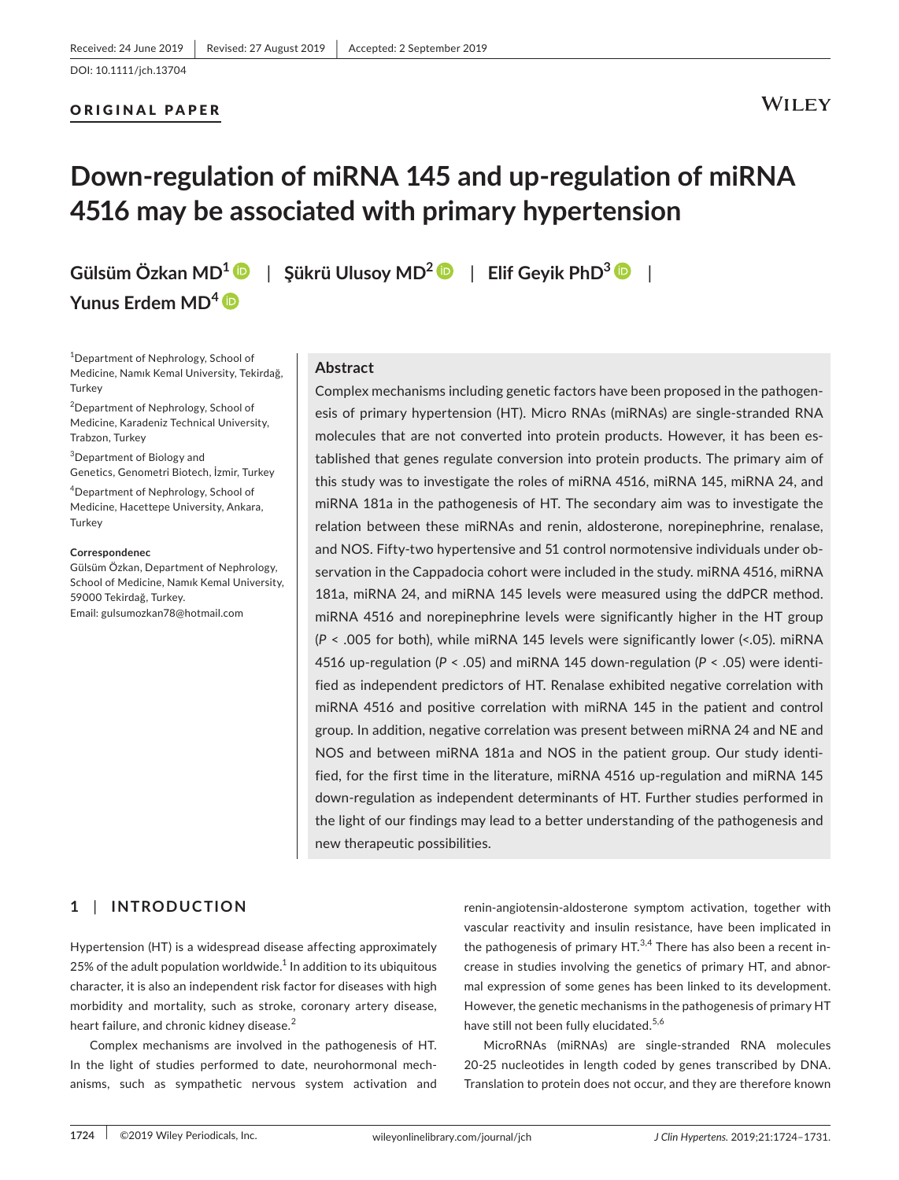### ORIGINAL PAPER

### **WILEY**

# **Down‐regulation of miRNA 145 and up‐regulation of miRNA 4516 may be associated with primary hypertension**

**Yunus Erdem MD[4](https://orcid.org/0000-0002-5389-3143)**

**Gülsüm Özkan MD[1](https://orcid.org/0000-0003-0552-3911)** | **Şükrü Ulusoy MD[2](https://orcid.org/0000-0002-2541-255X)** | **Elif Geyik PhD<sup>3</sup>** |

1 Department of Nephrology, School of Medicine, Namık Kemal University, Tekirdağ, **Turkey** 

2 Department of Nephrology, School of Medicine, Karadeniz Technical University, Trabzon, Turkey

<sup>3</sup>Department of Biology and Genetics, Genometri Biotech, İzmir, Turkey

4 Department of Nephrology, School of Medicine, Hacettepe University, Ankara, **Turkey** 

#### **Correspondenec**

Gülsüm Özkan, Department of Nephrology, School of Medicine, Namık Kemal University, 59000 Tekirdağ, Turkey. Email: [gulsumozkan78@hotmail.com](mailto:gulsumozkan78@hotmail.com)

### **Abstract**

Complex mechanisms including genetic factors have been proposed in the pathogen‐ esis of primary hypertension (HT). Micro RNAs (miRNAs) are single‐stranded RNA molecules that are not converted into protein products. However, it has been established that genes regulate conversion into protein products. The primary aim of this study was to investigate the roles of miRNA 4516, miRNA 145, miRNA 24, and miRNA 181a in the pathogenesis of HT. The secondary aim was to investigate the relation between these miRNAs and renin, aldosterone, norepinephrine, renalase, and NOS. Fifty-two hypertensive and 51 control normotensive individuals under observation in the Cappadocia cohort were included in the study. miRNA 4516, miRNA 181a, miRNA 24, and miRNA 145 levels were measured using the ddPCR method. miRNA 4516 and norepinephrine levels were significantly higher in the HT group (*P* < .005 for both), while miRNA 145 levels were significantly lower (<.05). miRNA 4516 up-regulation (P < .05) and miRNA 145 down-regulation (P < .05) were identified as independent predictors of HT. Renalase exhibited negative correlation with miRNA 4516 and positive correlation with miRNA 145 in the patient and control group. In addition, negative correlation was present between miRNA 24 and NE and NOS and between miRNA 181a and NOS in the patient group. Our study identi‐ fied, for the first time in the literature, miRNA 4516 up-regulation and miRNA 145 down‐regulation as independent determinants of HT. Further studies performed in the light of our findings may lead to a better understanding of the pathogenesis and new therapeutic possibilities.

### **1** | **INTRODUCTION**

Hypertension (HT) is a widespread disease affecting approximately 25% of the adult population worldwide. $1$  In addition to its ubiquitous character, it is also an independent risk factor for diseases with high morbidity and mortality, such as stroke, coronary artery disease, heart failure, and chronic kidney disease.<sup>2</sup>

Complex mechanisms are involved in the pathogenesis of HT. In the light of studies performed to date, neurohormonal mechanisms, such as sympathetic nervous system activation and

renin‐angiotensin‐aldosterone symptom activation, together with vascular reactivity and insulin resistance, have been implicated in the pathogenesis of primary  $HT<sup>3,4</sup>$  There has also been a recent increase in studies involving the genetics of primary HT, and abnor‐ mal expression of some genes has been linked to its development. However, the genetic mechanisms in the pathogenesis of primary HT have still not been fully elucidated.<sup>5,6</sup>

MicroRNAs (miRNAs) are single‐stranded RNA molecules 20‐25 nucleotides in length coded by genes transcribed by DNA. Translation to protein does not occur, and they are therefore known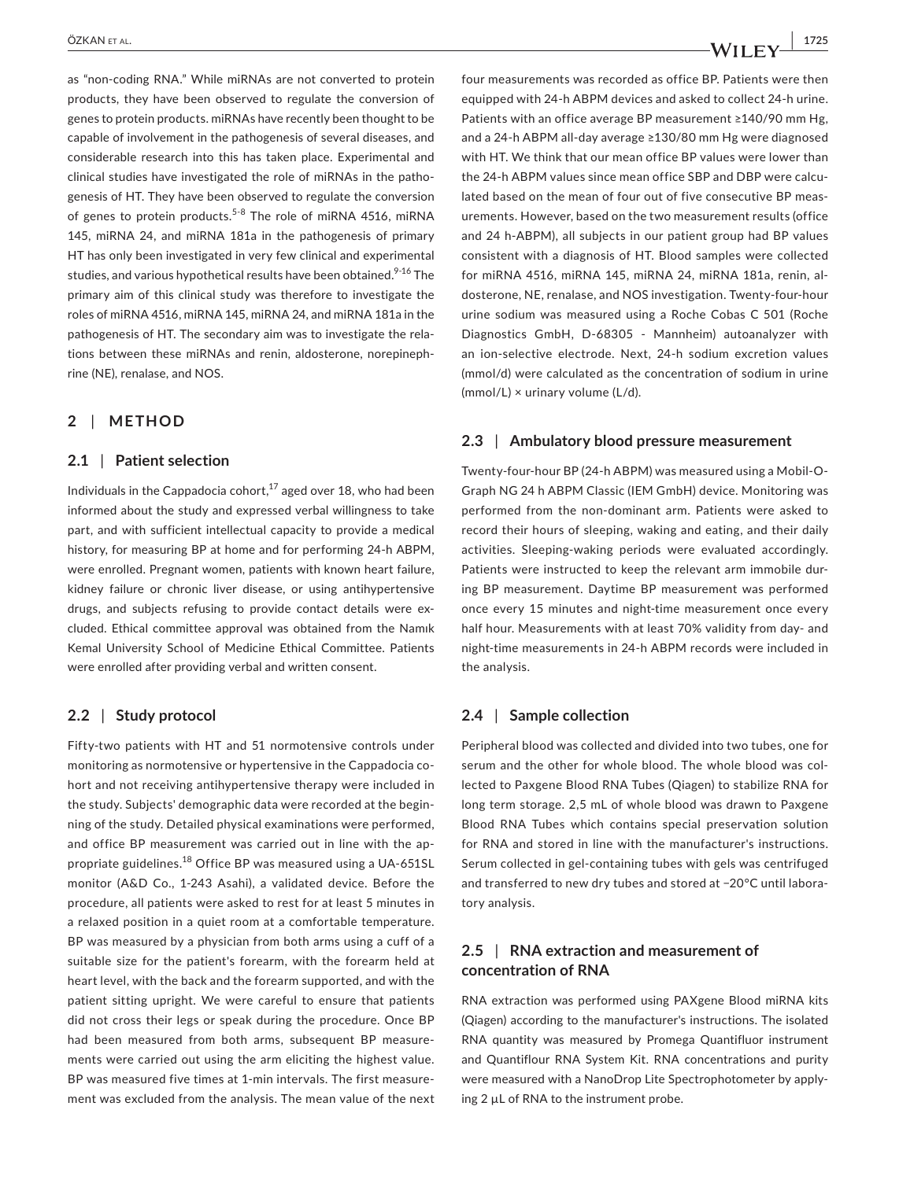as "non‐coding RNA." While miRNAs are not converted to protein products, they have been observed to regulate the conversion of genes to protein products. miRNAs have recently been thought to be capable of involvement in the pathogenesis of several diseases, and considerable research into this has taken place. Experimental and clinical studies have investigated the role of miRNAs in the patho‐ genesis of HT. They have been observed to regulate the conversion of genes to protein products.<sup>5-8</sup> The role of miRNA 4516, miRNA 145, miRNA 24, and miRNA 181a in the pathogenesis of primary HT has only been investigated in very few clinical and experimental studies, and various hypothetical results have been obtained.<sup>9-16</sup> The primary aim of this clinical study was therefore to investigate the roles of miRNA 4516, miRNA 145, miRNA 24, and miRNA 181a in the pathogenesis of HT. The secondary aim was to investigate the rela‐ tions between these miRNAs and renin, aldosterone, norepineph‐ rine (NE), renalase, and NOS.

### **2** | **METHOD**

### **2.1** | **Patient selection**

Individuals in the Cappadocia cohort, $17$  aged over 18, who had been informed about the study and expressed verbal willingness to take part, and with sufficient intellectual capacity to provide a medical history, for measuring BP at home and for performing 24‐h ABPM, were enrolled. Pregnant women, patients with known heart failure, kidney failure or chronic liver disease, or using antihypertensive drugs, and subjects refusing to provide contact details were excluded. Ethical committee approval was obtained from the Namık Kemal University School of Medicine Ethical Committee. Patients were enrolled after providing verbal and written consent.

### **2.2** | **Study protocol**

Fifty-two patients with HT and 51 normotensive controls under monitoring as normotensive or hypertensive in the Cappadocia cohort and not receiving antihypertensive therapy were included in the study. Subjects' demographic data were recorded at the begin‐ ning of the study. Detailed physical examinations were performed, and office BP measurement was carried out in line with the appropriate guidelines.<sup>18</sup> Office BP was measured using a UA-651SL monitor (A&D Co., 1‐243 Asahi), a validated device. Before the procedure, all patients were asked to rest for at least 5 minutes in a relaxed position in a quiet room at a comfortable temperature. BP was measured by a physician from both arms using a cuff of a suitable size for the patient's forearm, with the forearm held at heart level, with the back and the forearm supported, and with the patient sitting upright. We were careful to ensure that patients did not cross their legs or speak during the procedure. Once BP had been measured from both arms, subsequent BP measure‐ ments were carried out using the arm eliciting the highest value. BP was measured five times at 1‐min intervals. The first measure‐ ment was excluded from the analysis. The mean value of the next

four measurements was recorded as office BP. Patients were then equipped with 24‐h ABPM devices and asked to collect 24‐h urine. Patients with an office average BP measurement ≥140/90 mm Hg, and a 24‐h ABPM all‐day average ≥130/80 mm Hg were diagnosed with HT. We think that our mean office BP values were lower than the 24‐h ABPM values since mean office SBP and DBP were calcu‐ lated based on the mean of four out of five consecutive BP meas‐ urements. However, based on the two measurement results (office and 24 h-ABPM), all subjects in our patient group had BP values consistent with a diagnosis of HT. Blood samples were collected for miRNA 4516, miRNA 145, miRNA 24, miRNA 181a, renin, al‐ dosterone, NE, renalase, and NOS investigation. Twenty‐four‐hour urine sodium was measured using a Roche Cobas C 501 (Roche Diagnostics GmbH, D-68305 - Mannheim) autoanalyzer with an ion‐selective electrode. Next, 24‐h sodium excretion values (mmol/d) were calculated as the concentration of sodium in urine (mmol/L) × urinary volume (L/d).

### **2.3** | **Ambulatory blood pressure measurement**

Twenty‐four‐hour BP (24‐h ABPM) was measured using a Mobil‐O‐ Graph NG 24 h ABPM Classic (IEM GmbH) device. Monitoring was performed from the non‐dominant arm. Patients were asked to record their hours of sleeping, waking and eating, and their daily activities. Sleeping‐waking periods were evaluated accordingly. Patients were instructed to keep the relevant arm immobile dur‐ ing BP measurement. Daytime BP measurement was performed once every 15 minutes and night-time measurement once every half hour. Measurements with at least 70% validity from day- and night-time measurements in 24-h ABPM records were included in the analysis.

### **2.4** | **Sample collection**

Peripheral blood was collected and divided into two tubes, one for serum and the other for whole blood. The whole blood was col‐ lected to Paxgene Blood RNA Tubes (Qiagen) to stabilize RNA for long term storage. 2,5 mL of whole blood was drawn to Paxgene Blood RNA Tubes which contains special preservation solution for RNA and stored in line with the manufacturer's instructions. Serum collected in gel‐containing tubes with gels was centrifuged and transferred to new dry tubes and stored at −20°C until labora‐ tory analysis.

### **2.5** | **RNA extraction and measurement of concentration of RNA**

RNA extraction was performed using PAXgene Blood miRNA kits (Qiagen) according to the manufacturer's instructions. The isolated RNA quantity was measured by Promega Quantifluor instrument and Quantiflour RNA System Kit. RNA concentrations and purity were measured with a NanoDrop Lite Spectrophotometer by apply‐ ing 2 µL of RNA to the instrument probe.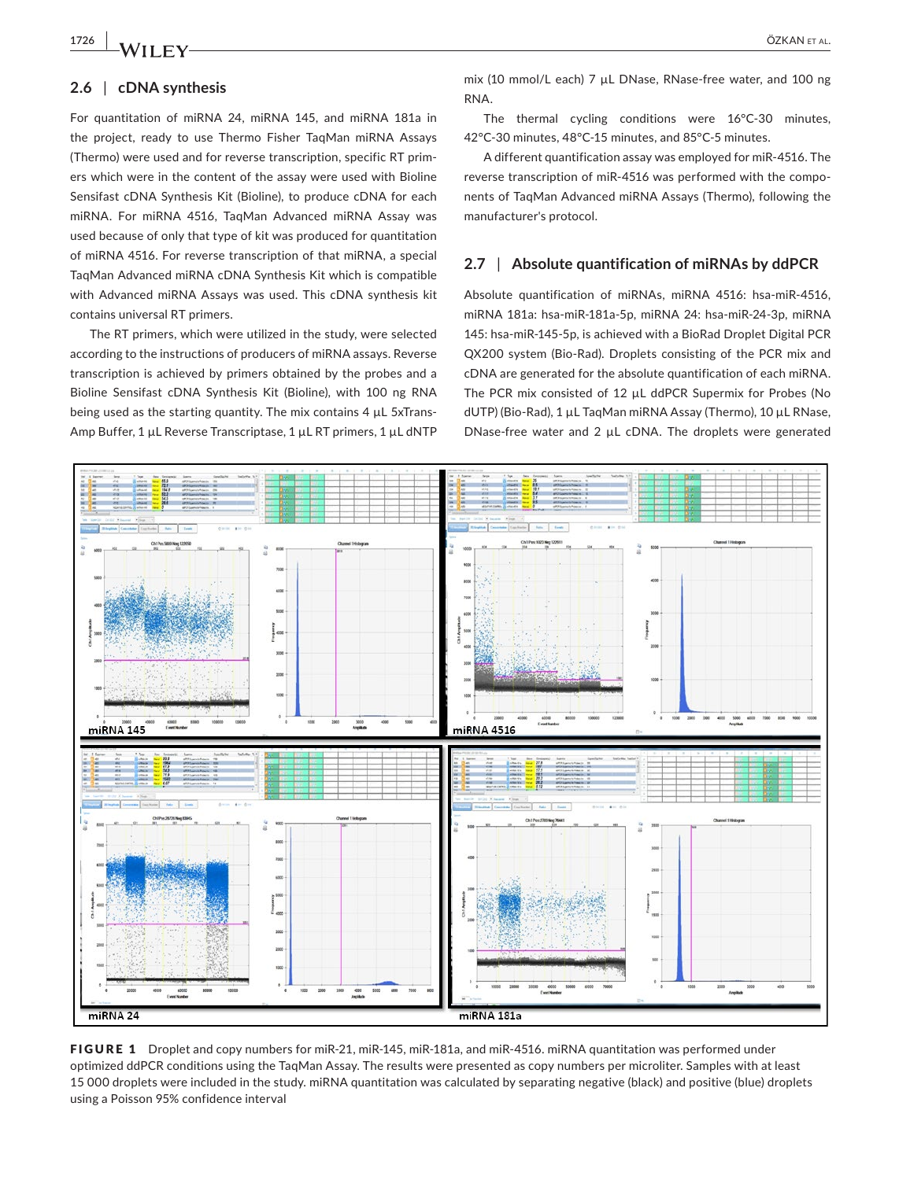## **1726 |**  ÖZKAN et al.

### **2.6** | **cDNA synthesis**

For quantitation of miRNA 24, miRNA 145, and miRNA 181a in the project, ready to use Thermo Fisher TaqMan miRNA Assays (Thermo) were used and for reverse transcription, specific RT prim‐ ers which were in the content of the assay were used with Bioline Sensifast cDNA Synthesis Kit (Bioline), to produce cDNA for each miRNA. For miRNA 4516, TaqMan Advanced miRNA Assay was used because of only that type of kit was produced for quantitation of miRNA 4516. For reverse transcription of that miRNA, a special TaqMan Advanced miRNA cDNA Synthesis Kit which is compatible with Advanced miRNA Assays was used. This cDNA synthesis kit contains universal RT primers.

The RT primers, which were utilized in the study, were selected according to the instructions of producers of miRNA assays. Reverse transcription is achieved by primers obtained by the probes and a Bioline Sensifast cDNA Synthesis Kit (Bioline), with 100 ng RNA being used as the starting quantity. The mix contains  $4 \mu L$  5xTrans-Amp Buffer, 1 µL Reverse Transcriptase, 1 µL RT primers, 1 µL dNTP mix (10 mmol/L each) 7 µL DNase, RNase-free water, and 100 ng RNA.

The thermal cycling conditions were 16°C-30 minutes, 42°C‐30 minutes, 48°C‐15 minutes, and 85°C‐5 minutes.

A different quantification assay was employed for miR‐4516. The reverse transcription of miR‐4516 was performed with the compo‐ nents of TaqMan Advanced miRNA Assays (Thermo), following the manufacturer's protocol.

### **2.7** | **Absolute quantification of miRNAs by ddPCR**

Absolute quantification of miRNAs, miRNA 4516: hsa-miR-4516, miRNA 181a: hsa‐miR‐181a‐5p, miRNA 24: hsa‐miR‐24‐3p, miRNA 145: hsa-miR-145-5p, is achieved with a BioRad Droplet Digital PCR QX200 system (Bio‐Rad). Droplets consisting of the PCR mix and cDNA are generated for the absolute quantification of each miRNA. The PCR mix consisted of 12 µL ddPCR Supermix for Probes (No dUTP) (Bio‐Rad), 1 µL TaqMan miRNA Assay (Thermo), 10 µL RNase, DNase‐free water and 2 µL cDNA. The droplets were generated



FIGURE 1 Droplet and copy numbers for miR-21, miR-145, miR-181a, and miR-4516. miRNA quantitation was performed under optimized ddPCR conditions using the TaqMan Assay. The results were presented as copy numbers per microliter. Samples with at least 15 000 droplets were included in the study. miRNA quantitation was calculated by separating negative (black) and positive (blue) droplets using a Poisson 95% confidence interval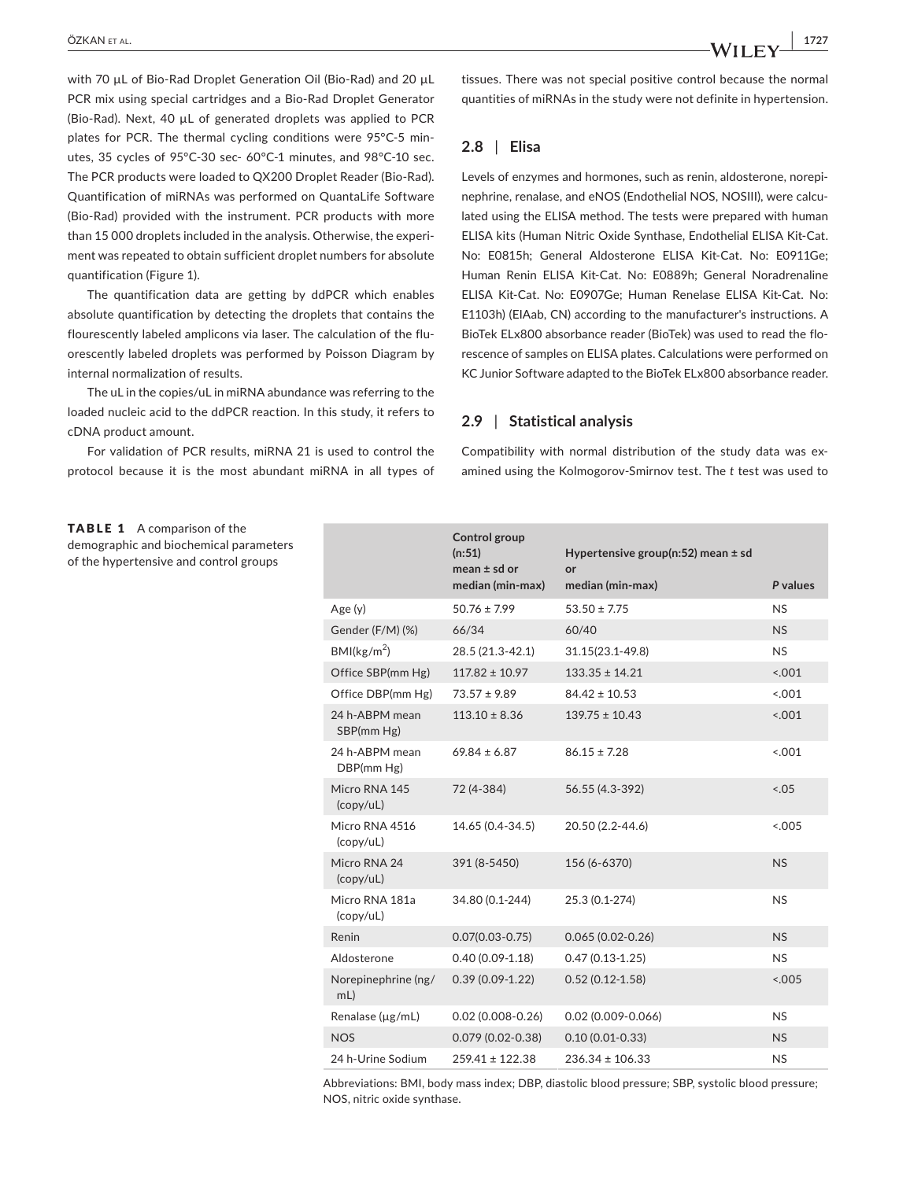with 70 µL of Bio-Rad Droplet Generation Oil (Bio-Rad) and 20 µL PCR mix using special cartridges and a Bio‐Rad Droplet Generator (Bio‐Rad). Next, 40 µL of generated droplets was applied to PCR plates for PCR. The thermal cycling conditions were 95°C‐5 min‐ utes, 35 cycles of 95°C‐30 sec‐ 60°C‐1 minutes, and 98°C‐10 sec. The PCR products were loaded to QX200 Droplet Reader (Bio‐Rad). Quantification of miRNAs was performed on QuantaLife Software (Bio‐Rad) provided with the instrument. PCR products with more than 15 000 droplets included in the analysis. Otherwise, the experi‐ ment was repeated to obtain sufficient droplet numbers for absolute quantification (Figure 1).

The quantification data are getting by ddPCR which enables absolute quantification by detecting the droplets that contains the flourescently labeled amplicons via laser. The calculation of the fluorescently labeled droplets was performed by Poisson Diagram by internal normalization of results.

The uL in the copies/uL in miRNA abundance was referring to the loaded nucleic acid to the ddPCR reaction. In this study, it refers to cDNA product amount.

For validation of PCR results, miRNA 21 is used to control the protocol because it is the most abundant miRNA in all types of tissues. There was not special positive control because the normal quantities of miRNAs in the study were not definite in hypertension.

### **2.8** | **Elisa**

Levels of enzymes and hormones, such as renin, aldosterone, norepi‐ nephrine, renalase, and eNOS (Endothelial NOS, NOSIII), were calcu‐ lated using the ELISA method. The tests were prepared with human ELISA kits (Human Nitric Oxide Synthase, Endothelial ELISA Kit‐Cat. No: E0815h; General Aldosterone ELISA Kit‐Cat. No: E0911Ge; Human Renin ELISA Kit‐Cat. No: E0889h; General Noradrenaline ELISA Kit‐Cat. No: E0907Ge; Human Renelase ELISA Kit‐Cat. No: E1103h) (EIAab, CN) according to the manufacturer's instructions. A BioTek ELx800 absorbance reader (BioTek) was used to read the florescence of samples on ELISA plates. Calculations were performed on KC Junior Software adapted to the BioTek ELx800 absorbance reader.

### **2.9** | **Statistical analysis**

Compatibility with normal distribution of the study data was ex‐ amined using the Kolmogorov‐Smirnov test. The *t* test was used to

TABLE 1 A comparison of the demographic and biochemical parameters of the hypertensive and control groups

|                                                                | Control group<br>(n:51)<br>mean $\pm$ sd or | Hypertensive group(n:52) mean $\pm$ sd<br>or |           |
|----------------------------------------------------------------|---------------------------------------------|----------------------------------------------|-----------|
|                                                                | median (min-max)                            | median (min-max)                             | P values  |
| Age(y)                                                         | $50.76 \pm 7.99$                            | $53.50 \pm 7.75$                             | <b>NS</b> |
| Gender (F/M) (%)                                               | 66/34                                       | 60/40                                        | <b>NS</b> |
| BMl(kg/m <sup>2</sup> )                                        | 28.5 (21.3-42.1)                            | 31.15(23.1-49.8)                             | <b>NS</b> |
| Office SBP(mm Hg)                                              | $117.82 \pm 10.97$                          | $133.35 \pm 14.21$                           | 1001      |
| Office DBP(mm Hg)                                              | $73.57 \pm 9.89$                            | $84.42 \pm 10.53$                            | 001       |
| 24 h-ABPM mean<br>SBP(mm Hg)                                   | $113.10 \pm 8.36$                           | $139.75 \pm 10.43$                           | < .001    |
| 24 h-ABPM mean<br>DBP(mm Hg)                                   | $69.84 \pm 6.87$                            | $86.15 \pm 7.28$                             | < .001    |
| Micro RNA 145<br>(copy/uL)                                     | 72 (4-384)                                  | 56.55 (4.3-392)                              | 5.05      |
| Micro RNA 4516<br>(copy/uL)                                    | 14.65 (0.4-34.5)                            | 20.50 (2.2-44.6)                             | < .005    |
| Micro RNA 24<br>$\left(\frac{\text{copy}}{\text{uL}}\right)$   | 391 (8-5450)                                | 156 (6-6370)                                 | <b>NS</b> |
| Micro RNA 181a<br>$\left(\frac{\text{copy}}{\text{uL}}\right)$ | 34.80 (0.1-244)                             | 25.3 (0.1-274)                               | NS        |
| Renin                                                          | $0.07(0.03 - 0.75)$                         | $0.065(0.02-0.26)$                           | <b>NS</b> |
| Aldosterone                                                    | $0.40(0.09-1.18)$                           | $0.47(0.13-1.25)$                            | NS        |
| Norepinephrine (ng/<br>mL)                                     | $0.39(0.09-1.22)$                           | $0.52(0.12 - 1.58)$                          | < .005    |
| Renalase (µg/mL)                                               | $0.02(0.008 - 0.26)$                        | $0.02(0.009 - 0.066)$                        | <b>NS</b> |
| <b>NOS</b>                                                     | $0.079(0.02 - 0.38)$                        | $0.10(0.01 - 0.33)$                          | <b>NS</b> |
| 24 h-Urine Sodium                                              | $259.41 \pm 122.38$                         | $236.34 \pm 106.33$                          | <b>NS</b> |

Abbreviations: BMI, body mass index; DBP, diastolic blood pressure; SBP, systolic blood pressure; NOS, nitric oxide synthase.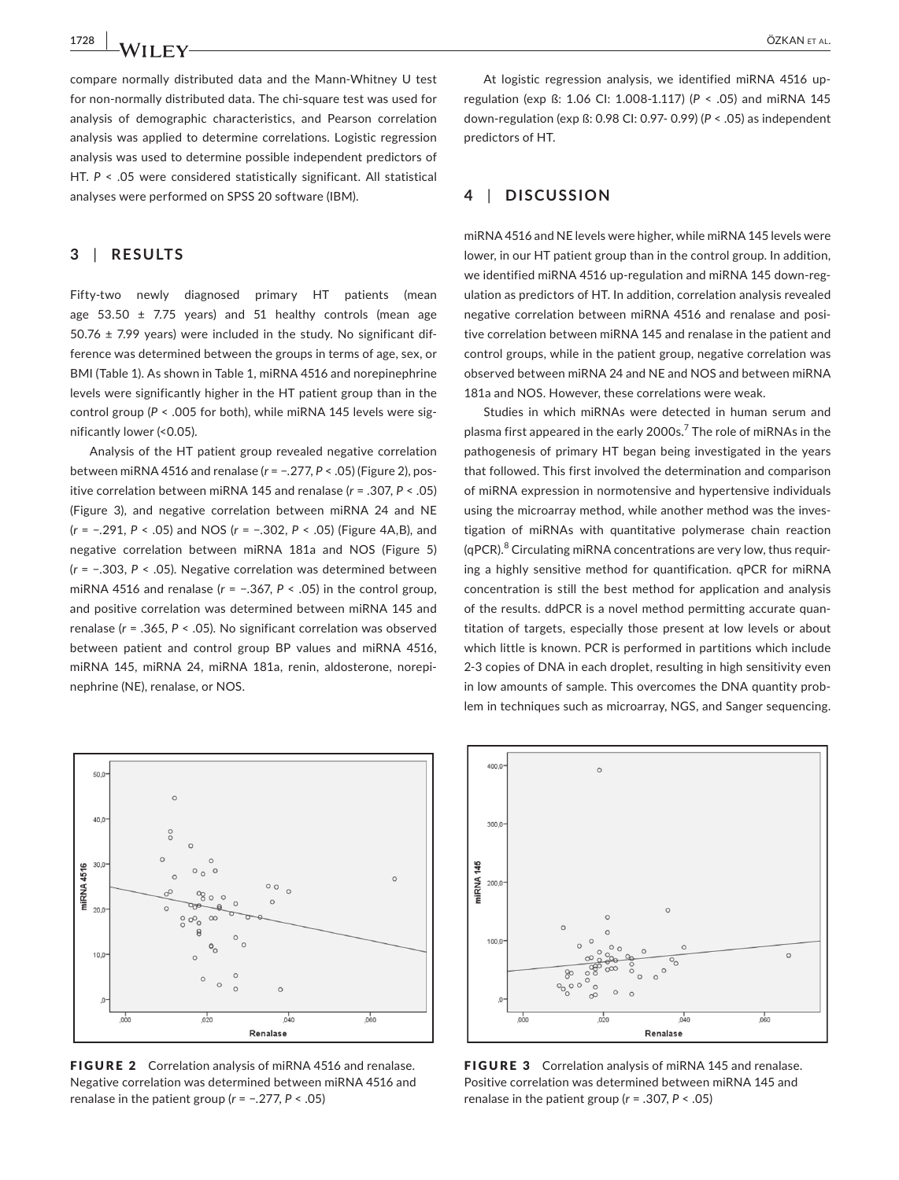compare normally distributed data and the Mann‐Whitney U test for non‐normally distributed data. The chi‐square test was used for analysis of demographic characteristics, and Pearson correlation analysis was applied to determine correlations. Logistic regression analysis was used to determine possible independent predictors of HT.  $P < 0.05$  were considered statistically significant. All statistical analyses were performed on SPSS 20 software (IBM).

### **3** | **RESULTS**

Fifty-two newly diagnosed primary HT patients (mean age  $53.50 \pm 7.75$  years) and  $51$  healthy controls (mean age 50.76  $\pm$  7.99 years) were included in the study. No significant difference was determined between the groups in terms of age, sex, or BMI (Table 1). As shown in Table 1, miRNA 4516 and norepinephrine levels were significantly higher in the HT patient group than in the control group ( $P <$  .005 for both), while miRNA 145 levels were significantly lower (<0.05).

Analysis of the HT patient group revealed negative correlation between miRNA 4516 and renalase (*r* = −.277, *P* < .05) (Figure 2), pos‐ itive correlation between miRNA 145 and renalase (*r* = .307, *P* < .05) (Figure 3), and negative correlation between miRNA 24 and NE (*r* = −.291, *P* < .05) and NOS (*r* = −.302, *P* < .05) (Figure 4A,B), and negative correlation between miRNA 181a and NOS (Figure 5) (*r* = −.303, *P* < .05). Negative correlation was determined between miRNA 4516 and renalase (*r* = −.367, *P* < .05) in the control group, and positive correlation was determined between miRNA 145 and renalase (*r* = .365, *P* < .05). No significant correlation was observed between patient and control group BP values and miRNA 4516, miRNA 145, miRNA 24, miRNA 181a, renin, aldosterone, norepi‐ nephrine (NE), renalase, or NOS.



FIGURE 2 Correlation analysis of miRNA 4516 and renalase. Negative correlation was determined between miRNA 4516 and renalase in the patient group (*r* = −.277, *P* < .05)

At logistic regression analysis, we identified miRNA 4516 upregulation (exp ß: 1.06 CI: 1.008‐1.117) (*P* < .05) and miRNA 145 down‐regulation (exp ß: 0.98 CI: 0.97‐ 0.99) (*P* < .05) as independent predictors of HT.

### **4** | **DISCUSSION**

miRNA 4516 and NE levels were higher, while miRNA 145 levels were lower, in our HT patient group than in the control group. In addition, we identified miRNA 4516 up-regulation and miRNA 145 down-regulation as predictors of HT. In addition, correlation analysis revealed negative correlation between miRNA 4516 and renalase and posi‐ tive correlation between miRNA 145 and renalase in the patient and control groups, while in the patient group, negative correlation was observed between miRNA 24 and NE and NOS and between miRNA 181a and NOS. However, these correlations were weak.

Studies in which miRNAs were detected in human serum and plasma first appeared in the early 2000s.<sup>7</sup> The role of miRNAs in the pathogenesis of primary HT began being investigated in the years that followed. This first involved the determination and comparison of miRNA expression in normotensive and hypertensive individuals using the microarray method, while another method was the investigation of miRNAs with quantitative polymerase chain reaction (qPCR).<sup>8</sup> Circulating miRNA concentrations are very low, thus requiring a highly sensitive method for quantification. qPCR for miRNA concentration is still the best method for application and analysis of the results. ddPCR is a novel method permitting accurate quan‐ titation of targets, especially those present at low levels or about which little is known. PCR is performed in partitions which include 2‐3 copies of DNA in each droplet, resulting in high sensitivity even in low amounts of sample. This overcomes the DNA quantity problem in techniques such as microarray, NGS, and Sanger sequencing.



FIGURE 3 Correlation analysis of miRNA 145 and renalase. Positive correlation was determined between miRNA 145 and renalase in the patient group (*r* = .307, *P* < .05)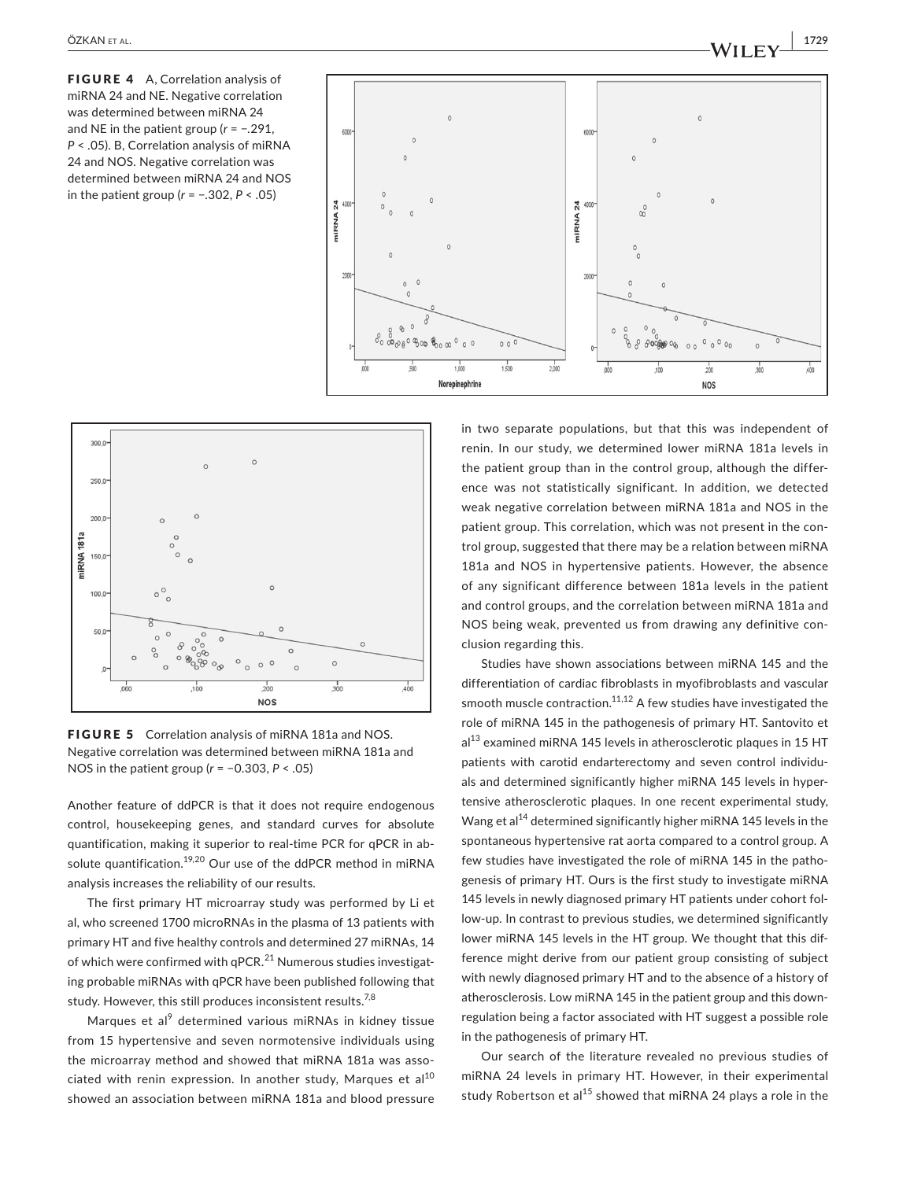FIGURE 4 A, Correlation analysis of miRNA 24 and NE. Negative correlation was determined between miRNA 24 and NE in the patient group (*r* = −.291, *P* < .05). B, Correlation analysis of miRNA 24 and NOS. Negative correlation was determined between miRNA 24 and NOS in the patient group (*r* = −.302, *P* < .05)





FIGURE 5 Correlation analysis of miRNA 181a and NOS. Negative correlation was determined between miRNA 181a and NOS in the patient group (*r* = −0.303, *P* < .05)

Another feature of ddPCR is that it does not require endogenous control, housekeeping genes, and standard curves for absolute quantification, making it superior to real‐time PCR for qPCR in ab‐ solute quantification.<sup>19,20</sup> Our use of the ddPCR method in miRNA analysis increases the reliability of our results.

The first primary HT microarray study was performed by Li et al, who screened 1700 microRNAs in the plasma of 13 patients with primary HT and five healthy controls and determined 27 miRNAs, 14 of which were confirmed with qPCR. $^{21}$  Numerous studies investigating probable miRNAs with qPCR have been published following that study. However, this still produces inconsistent results.<sup>7,8</sup>

Marques et al<sup>9</sup> determined various miRNAs in kidney tissue from 15 hypertensive and seven normotensive individuals using the microarray method and showed that miRNA 181a was associated with renin expression. In another study, Marques et al<sup>10</sup> showed an association between miRNA 181a and blood pressure

in two separate populations, but that this was independent of renin. In our study, we determined lower miRNA 181a levels in the patient group than in the control group, although the differ‐ ence was not statistically significant. In addition, we detected weak negative correlation between miRNA 181a and NOS in the patient group. This correlation, which was not present in the control group, suggested that there may be a relation between miRNA 181a and NOS in hypertensive patients. However, the absence of any significant difference between 181a levels in the patient and control groups, and the correlation between miRNA 181a and NOS being weak, prevented us from drawing any definitive con‐ clusion regarding this.

Studies have shown associations between miRNA 145 and the differentiation of cardiac fibroblasts in myofibroblasts and vascular smooth muscle contraction.<sup>11,12</sup> A few studies have investigated the role of miRNA 145 in the pathogenesis of primary HT. Santovito et  $al<sup>13</sup>$  examined miRNA 145 levels in atherosclerotic plaques in 15 HT patients with carotid endarterectomy and seven control individuals and determined significantly higher miRNA 145 levels in hyper‐ tensive atherosclerotic plaques. In one recent experimental study, Wang et al<sup>14</sup> determined significantly higher miRNA 145 levels in the spontaneous hypertensive rat aorta compared to a control group. A few studies have investigated the role of miRNA 145 in the pathogenesis of primary HT. Ours is the first study to investigate miRNA 145 levels in newly diagnosed primary HT patients under cohort fol‐ low-up. In contrast to previous studies, we determined significantly lower miRNA 145 levels in the HT group. We thought that this difference might derive from our patient group consisting of subject with newly diagnosed primary HT and to the absence of a history of atherosclerosis. Low miRNA 145 in the patient group and this down‐ regulation being a factor associated with HT suggest a possible role in the pathogenesis of primary HT.

Our search of the literature revealed no previous studies of miRNA 24 levels in primary HT. However, in their experimental study Robertson et al<sup>15</sup> showed that miRNA 24 plays a role in the

 **|** ÖZKAN et al. **1729**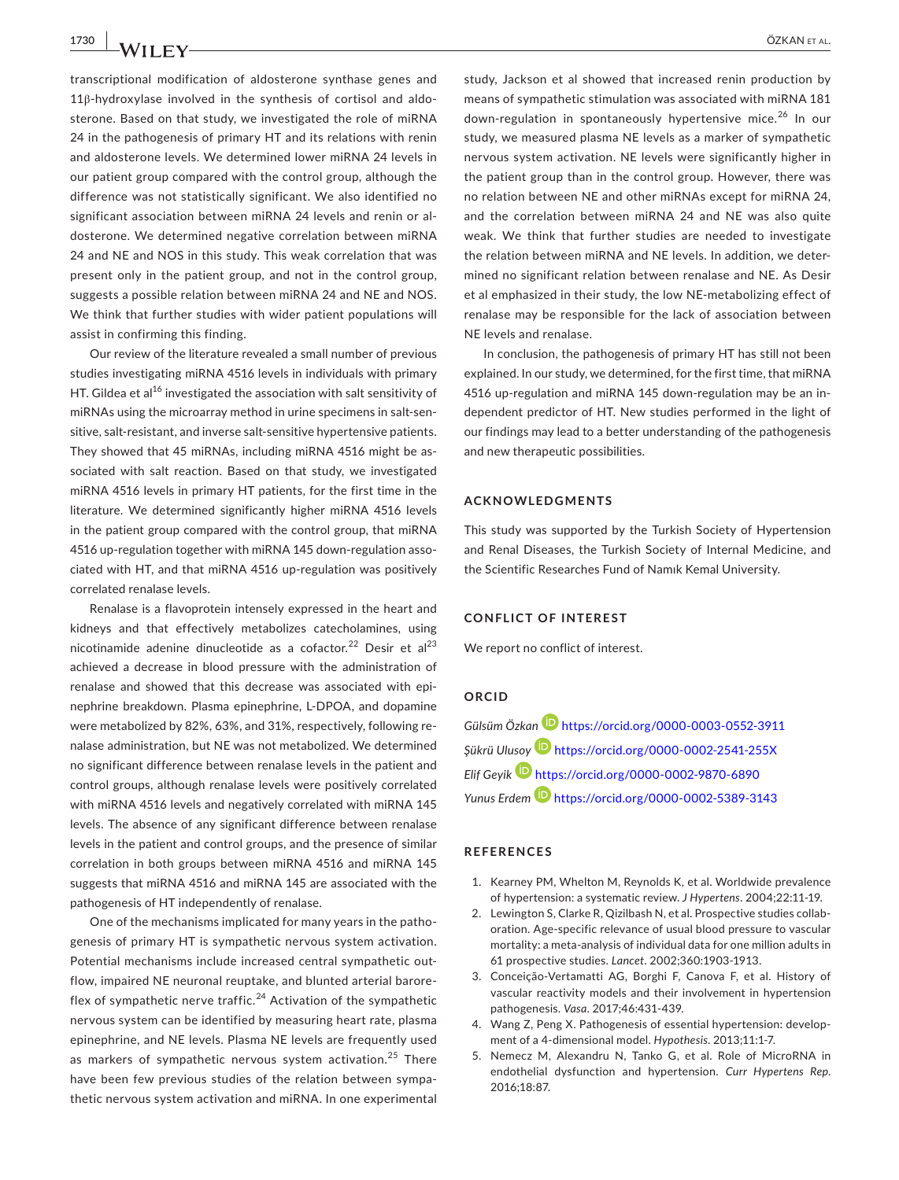transcriptional modification of aldosterone synthase genes and 11β‐hydroxylase involved in the synthesis of cortisol and aldo‐ sterone. Based on that study, we investigated the role of miRNA 24 in the pathogenesis of primary HT and its relations with renin and aldosterone levels. We determined lower miRNA 24 levels in our patient group compared with the control group, although the difference was not statistically significant. We also identified no significant association between miRNA 24 levels and renin or aldosterone. We determined negative correlation between miRNA 24 and NE and NOS in this study. This weak correlation that was present only in the patient group, and not in the control group, suggests a possible relation between miRNA 24 and NE and NOS. We think that further studies with wider patient populations will assist in confirming this finding.

Our review of the literature revealed a small number of previous studies investigating miRNA 4516 levels in individuals with primary HT. Gildea et al<sup>16</sup> investigated the association with salt sensitivity of miRNAs using the microarray method in urine specimens in salt‐sen‐ sitive, salt-resistant, and inverse salt-sensitive hypertensive patients. They showed that 45 miRNAs, including miRNA 4516 might be associated with salt reaction. Based on that study, we investigated miRNA 4516 levels in primary HT patients, for the first time in the literature. We determined significantly higher miRNA 4516 levels in the patient group compared with the control group, that miRNA 4516 up-regulation together with miRNA 145 down-regulation associated with HT, and that miRNA 4516 up‐regulation was positively correlated renalase levels.

Renalase is a flavoprotein intensely expressed in the heart and kidneys and that effectively metabolizes catecholamines, using nicotinamide adenine dinucleotide as a cofactor.<sup>22</sup> Desir et al<sup>23</sup> achieved a decrease in blood pressure with the administration of renalase and showed that this decrease was associated with epi‐ nephrine breakdown. Plasma epinephrine, L‐DPOA, and dopamine were metabolized by 82%, 63%, and 31%, respectively, following re‐ nalase administration, but NE was not metabolized. We determined no significant difference between renalase levels in the patient and control groups, although renalase levels were positively correlated with miRNA 4516 levels and negatively correlated with miRNA 145 levels. The absence of any significant difference between renalase levels in the patient and control groups, and the presence of similar correlation in both groups between miRNA 4516 and miRNA 145 suggests that miRNA 4516 and miRNA 145 are associated with the pathogenesis of HT independently of renalase.

One of the mechanisms implicated for many years in the patho‐ genesis of primary HT is sympathetic nervous system activation. Potential mechanisms include increased central sympathetic out‐ flow, impaired NE neuronal reuptake, and blunted arterial barore‐ flex of sympathetic nerve traffic.<sup>24</sup> Activation of the sympathetic nervous system can be identified by measuring heart rate, plasma epinephrine, and NE levels. Plasma NE levels are frequently used as markers of sympathetic nervous system activation.<sup>25</sup> There have been few previous studies of the relation between sympa‐ thetic nervous system activation and miRNA. In one experimental

study, Jackson et al showed that increased renin production by means of sympathetic stimulation was associated with miRNA 181 down-regulation in spontaneously hypertensive mice.<sup>26</sup> In our study, we measured plasma NE levels as a marker of sympathetic nervous system activation. NE levels were significantly higher in the patient group than in the control group. However, there was no relation between NE and other miRNAs except for miRNA 24, and the correlation between miRNA 24 and NE was also quite weak. We think that further studies are needed to investigate the relation between miRNA and NE levels. In addition, we deter‐ mined no significant relation between renalase and NE. As Desir et al emphasized in their study, the low NE‐metabolizing effect of renalase may be responsible for the lack of association between NE levels and renalase.

In conclusion, the pathogenesis of primary HT has still not been explained. In our study, we determined, for the first time, that miRNA 4516 up-regulation and miRNA 145 down-regulation may be an independent predictor of HT. New studies performed in the light of our findings may lead to a better understanding of the pathogenesis and new therapeutic possibilities.

### **ACKNOWLEDGMENTS**

This study was supported by the Turkish Society of Hypertension and Renal Diseases, the Turkish Society of Internal Medicine, and the Scientific Researches Fund of Namık Kemal University.

### **CONFLICT OF INTEREST**

We report no conflict of interest.

### **ORCID**

*Gülsüm Özkan* <https://orcid.org/0000-0003-0552-3911> *Şükrü Ulusoy* <https://orcid.org/0000-0002-2541-255X> *Elif Geyik* <https://orcid.org/0000-0002-9870-6890> *Yunus Erdem* <https://orcid.org/0000-0002-5389-3143>

### **REFERENCES**

- 1. Kearney PM, Whelton M, Reynolds K, et al. Worldwide prevalence of hypertension: a systematic review. *J Hypertens*. 2004;22:11‐19.
- 2. Lewington S, Clarke R, Qizilbash N, et al. Prospective studies collaboration. Age‐specific relevance of usual blood pressure to vascular mortality: a meta‐analysis of individual data for one million adults in 61 prospective studies. *Lancet*. 2002;360:1903‐1913.
- 3. Conceição‐Vertamatti AG, Borghi F, Canova F, et al. History of vascular reactivity models and their involvement in hypertension pathogenesis. *Vasa*. 2017;46:431‐439.
- 4. Wang Z, Peng X. Pathogenesis of essential hypertension: develop‐ ment of a 4‐dimensional model. *Hypothesis*. 2013;11:1‐7.
- 5. Nemecz M, Alexandru N, Tanko G, et al. Role of MicroRNA in endothelial dysfunction and hypertension. *Curr Hypertens Rep*. 2016;18:87.